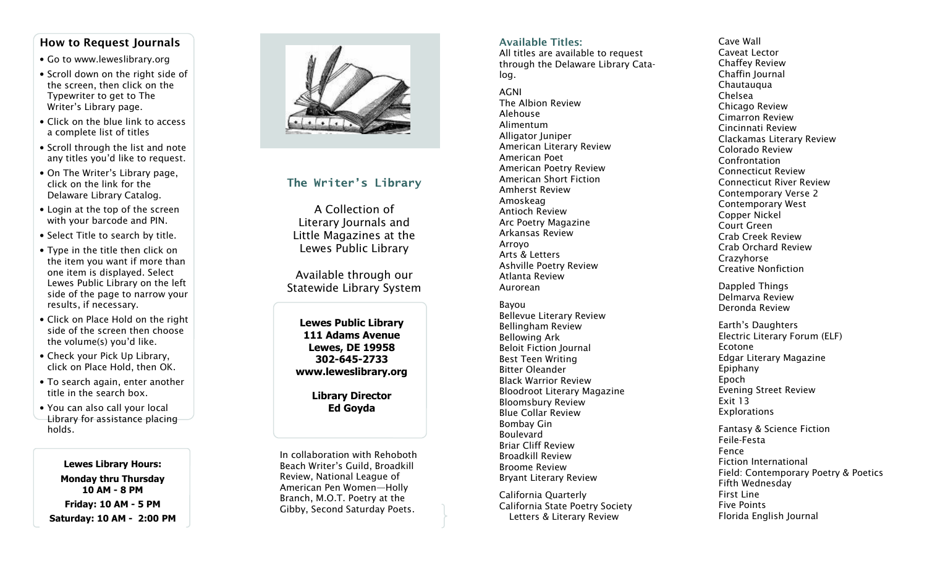## How to Request Journals

- Go to www.leweslibrary.org
- Scroll down on the right side of the screen, then click on the Typewriter to get to The Writer's Library page.
- Click on the blue link to access a complete list of titles
- Scroll through the list and note any titles you'd like to request.
- On The Writer's Library page, click on the link for the Delaware Library Catalog.
- Login at the top of the screen with your barcode and PIN.
- Select Title to search by title.
- Type in the title then click on the item you want if more than one item is displayed. Select Lewes Public Library on the left side of the page to narrow your results, if necessary.
- Click on Place Hold on the right side of the screen then choose the volume(s) you'd like.
- Check your Pick Up Library, click on Place Hold, then OK.
- To search again, enter another title in the search box.
- You can also call your local Library for assistance placing holds.

Lewes Library Hours: Monday thru Thursday 10 AM - 8 PM Friday: 10 AM - 5 PM Saturday: 10 AM - 2:00 PM



## The Writer's Library

A Collection of Literary Journals and Little Magazines at the Lewes Public Library

Available through our Statewide Library System

Lewes Public Library 111 Adams Avenue Lewes, DE 19958 302-645-2733 www.leweslibrary.org

> Library Director Ed Goyda

In collaboration with Rehoboth Beach Writer's Guild, Broadkill Review, National League of American Pen Women—Holly Branch, M.O.T. Poetry at the Gibby, Second Saturday Poets.

### Available Titles:

 All titles are available to request through the Delaware Library Catalog.

#### AGNI

 The Albion Review Alehouse Alimentum Alligator Juniper American Literary Review American Poet American Poetry Review American Short Fiction Amherst Review Amoskeag Antioch Review Arc Poetry Magazine Arkansas Review Arroyo Arts & Letters Ashville Poetry Review Atlanta Review Aurorean

Bayou Bellevue Literary Review Bellingham Review Bellowing Ark Beloit Fiction Journal Best Teen Writing Bitter Oleander Black Warrior Review Bloodroot Literary Magazine Bloomsbury Review Blue Collar Review Bombay Gin Boulevard Briar Cliff Review Broadkill Review Broome Review Bryant Literary Review

California Quarterly California State Poetry Society Letters & Literary Review

Cave Wall Caveat Lector Chaffey Review Chaffin Journal **Chautauqua** Chelsea Chicago Review Cimarron Review Cincinnati Review Clackamas Literary Review Colorado Review Confrontation Connecticut Review Connecticut River Review Contemporary Verse 2 Contemporary West Copper Nickel Court Green Crab Creek Review Crab Orchard Review Crazyhorse Creative Nonfiction

Dappled Things Delmarva Review Deronda Review

Earth's Daughters Electric Literary Forum (ELF) Ecotone Edgar Literary Magazine Epiphany Epoch Evening Street Review Exit 13 Explorations

Fantasy & Science Fiction Feile-Festa Fence Fiction International Field: Contemporary Poetry & Poetics Fifth Wednesday First Line Five Points Florida English Journal